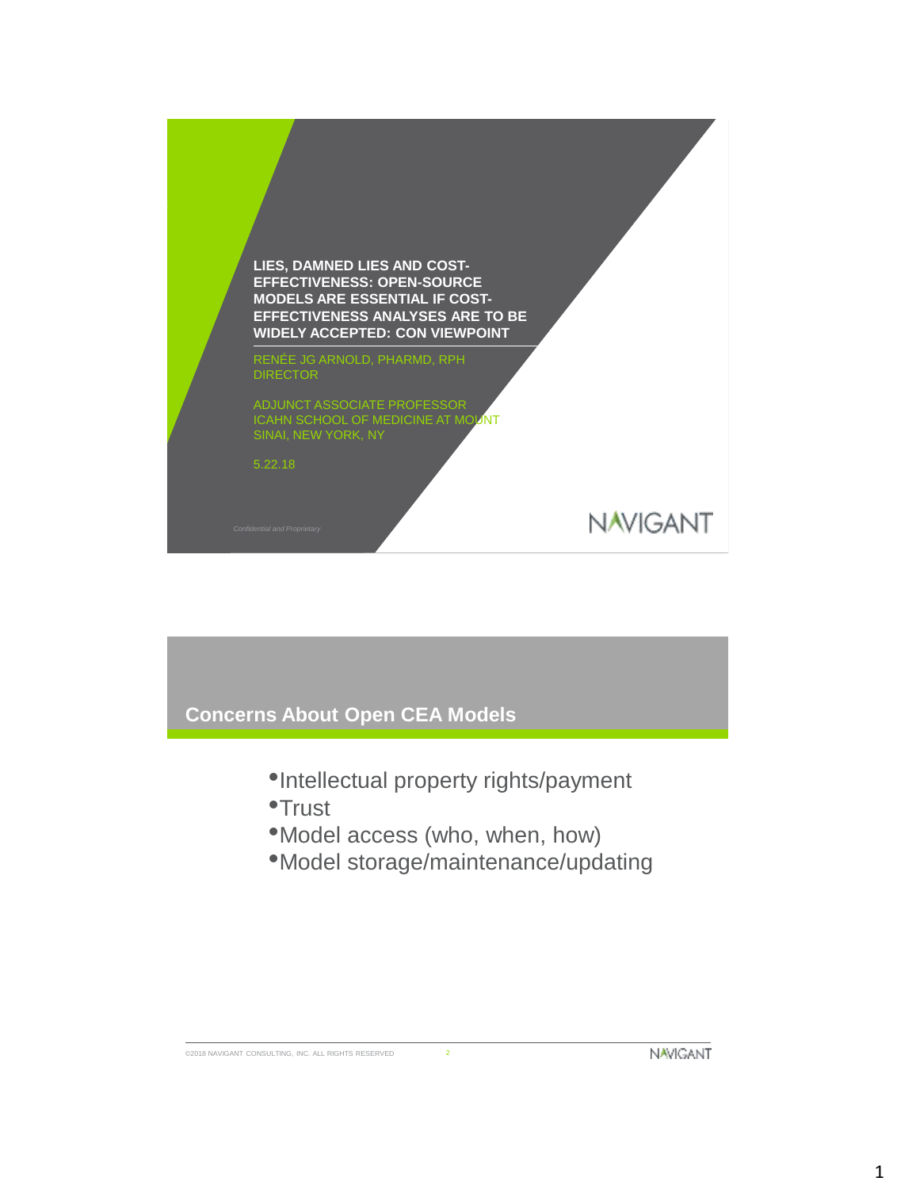

# **Concerns About Open CEA Models**

- •Intellectual property rights/payment
- •Trust
- •Model access (who, when, how)
- •Model storage/maintenance/updating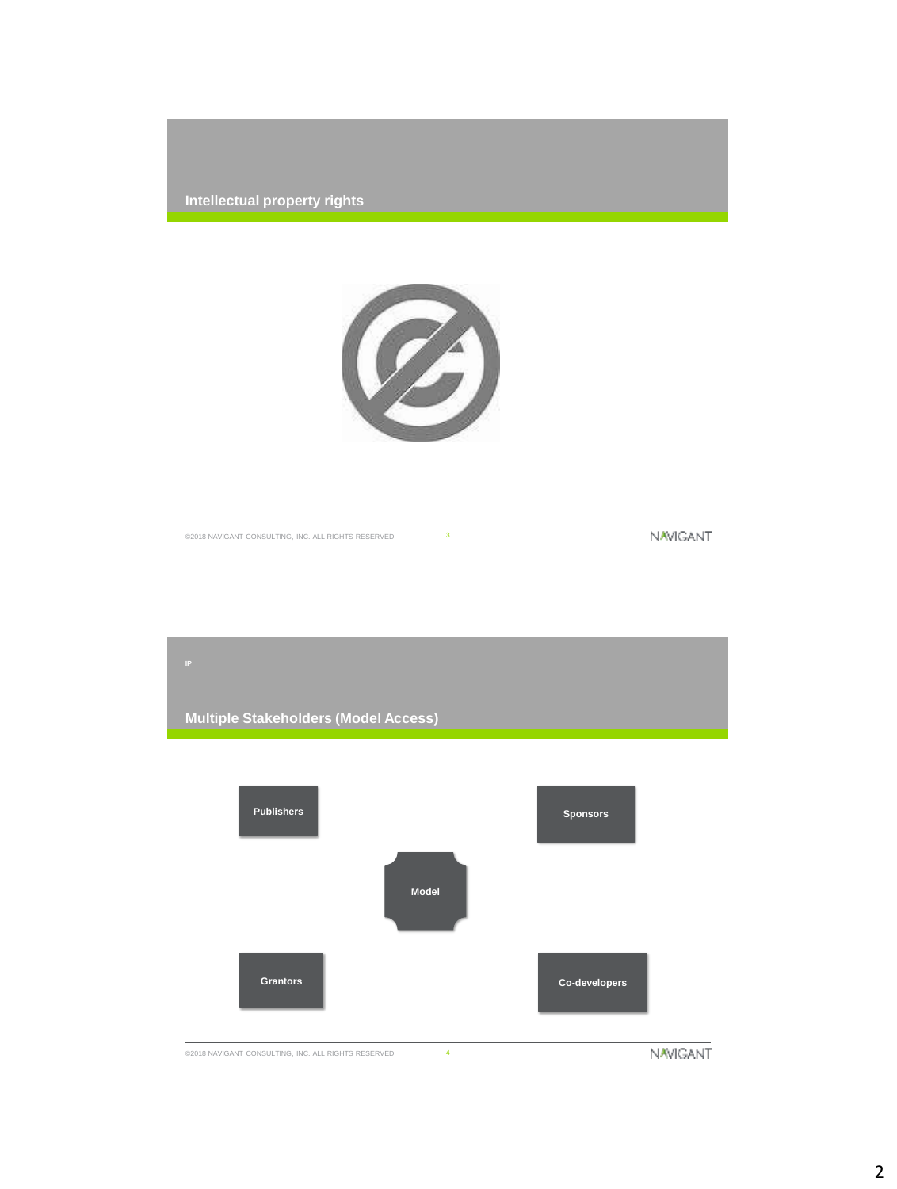



©2018 NAVIGANT CONSULTING, INC. ALL RIGHTS RESERVED 3

**NAVIGANT** 

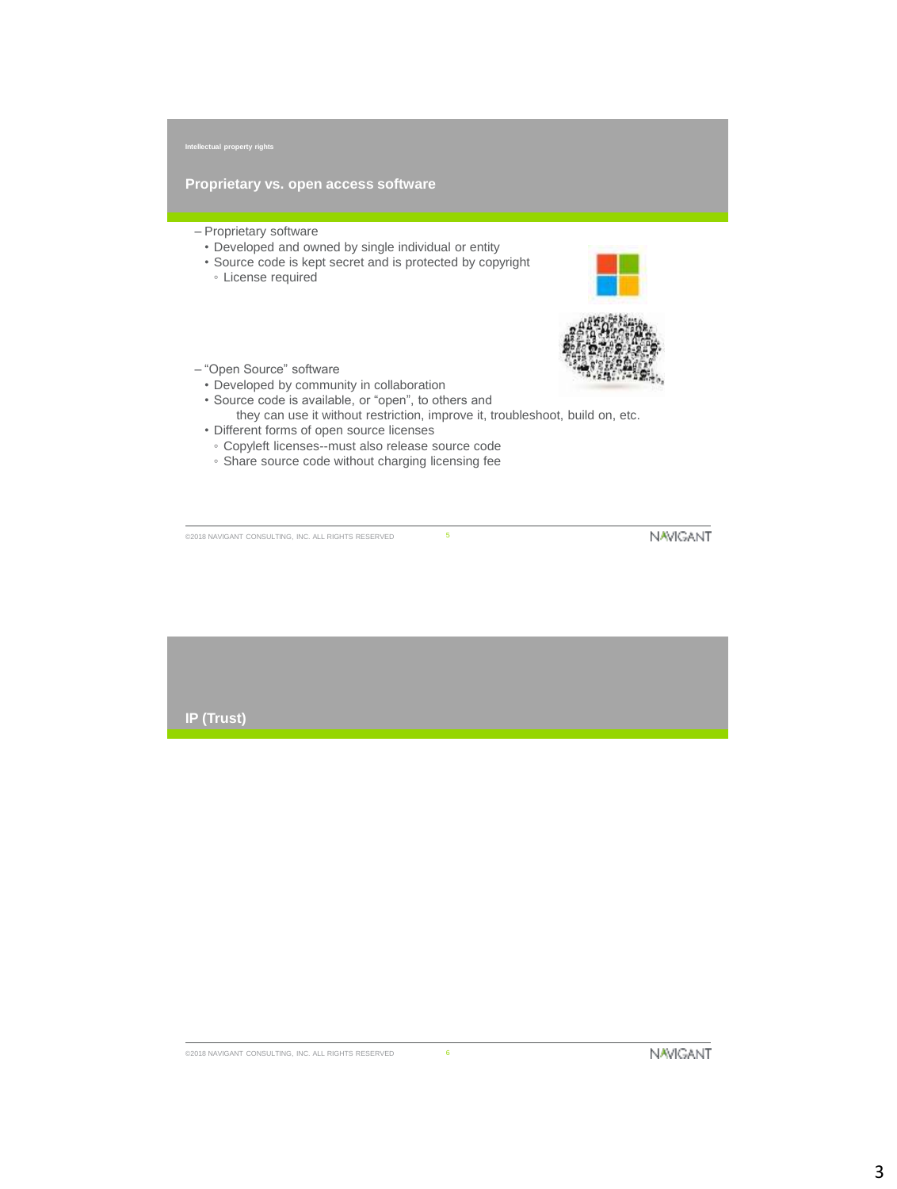**Proprietary vs. open access software**

- Proprietary software
	- Developed and owned by single individual or entity
	- Source code is kept secret and is protected by copyright
		- License required





- "Open Source" software
	- Developed by community in collaboration
- Source code is available, or "open", to others and they can use it without restriction, improve it, troubleshoot, build on, etc.
- Different forms of open source licenses
- Copyleft licenses--must also release source code
- Share source code without charging licensing fee

©2018 NAVIGANT CONSULTING, INC. ALL RIGHTS RESERVED 5

**NAVIGANT** 

**IP (Trust)**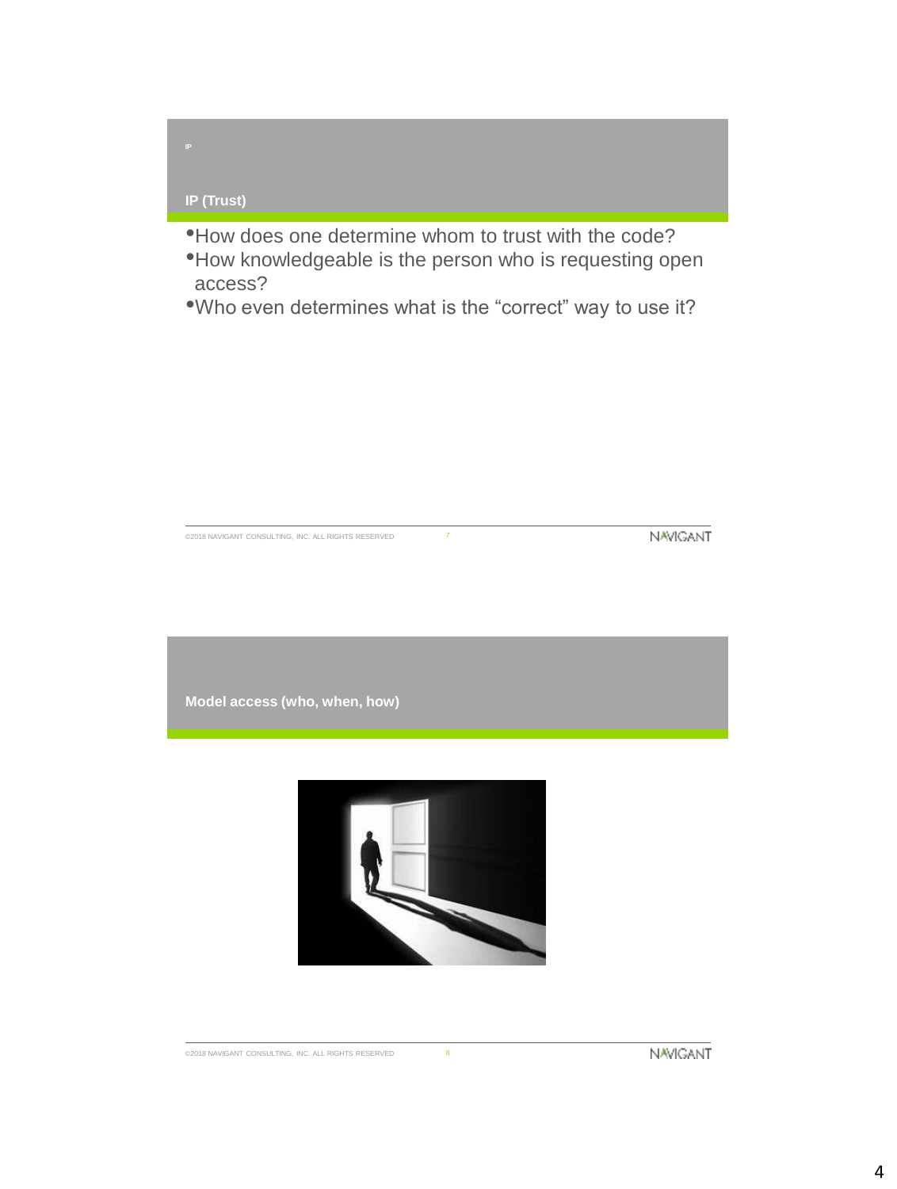# **IP (Trust)**

- •How does one determine whom to trust with the code?
- •How knowledgeable is the person who is requesting open access?
- •Who even determines what is the "correct" way to use it?

©2018 NAVIGANT CONSULTING, INC. ALL RIGHTS RESERVED 7

**NAVIGANT** 

**Model access (who, when, how)**



4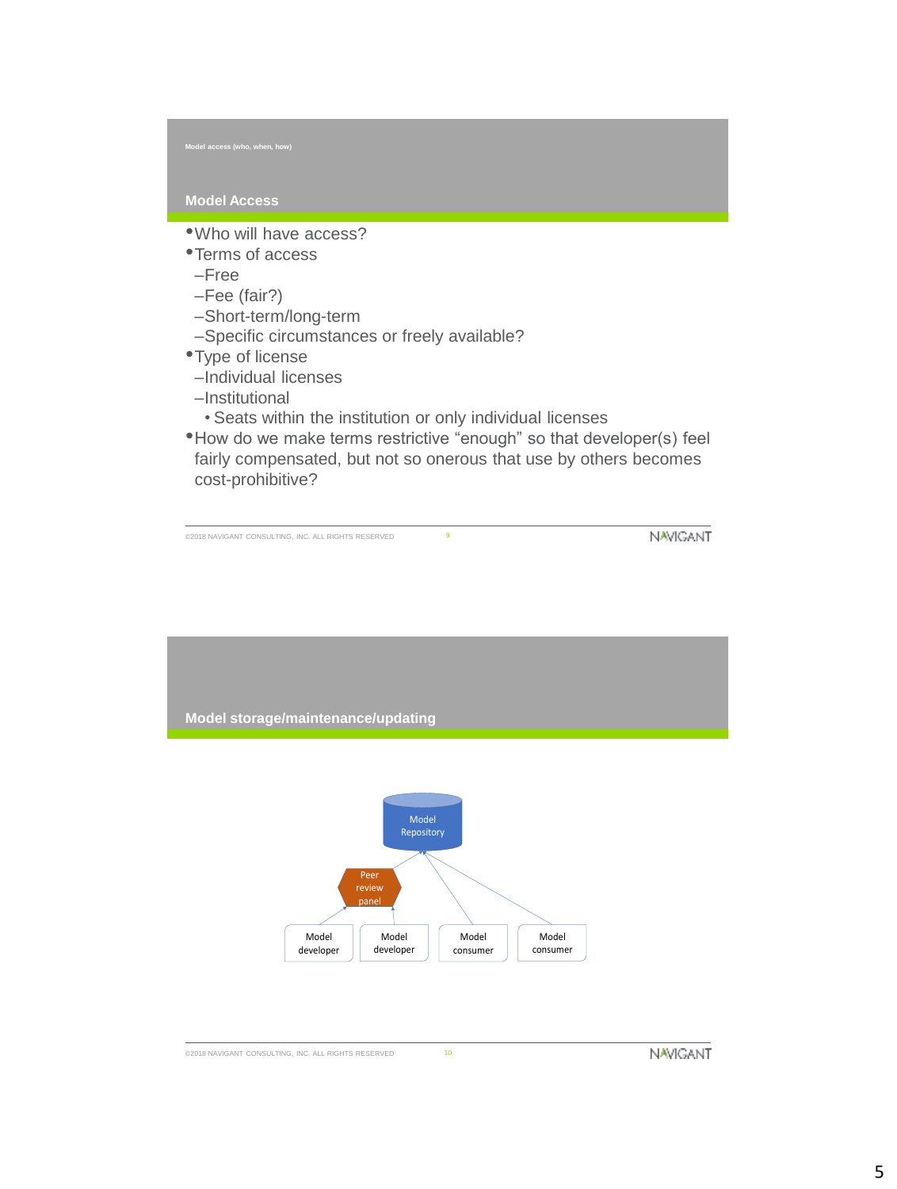### **Model Access**

- •Who will have access?
- •Terms of access
- –Free
- –Fee (fair?)
- –Short-term/long-term
- –Specific circumstances or freely available?
- •Type of license
- –Individual licenses
- –Institutional
- Seats within the institution or only individual licenses
- •How do we make terms restrictive "enough" so that developer(s) feel fairly compensated, but not so onerous that use by others becomes cost-prohibitive?

©2018 NAVIGANT CONSULTING, INC. ALL RIGHTS RESERVED 9

**NAVIGANT** 

**Model storage/maintenance/updating**

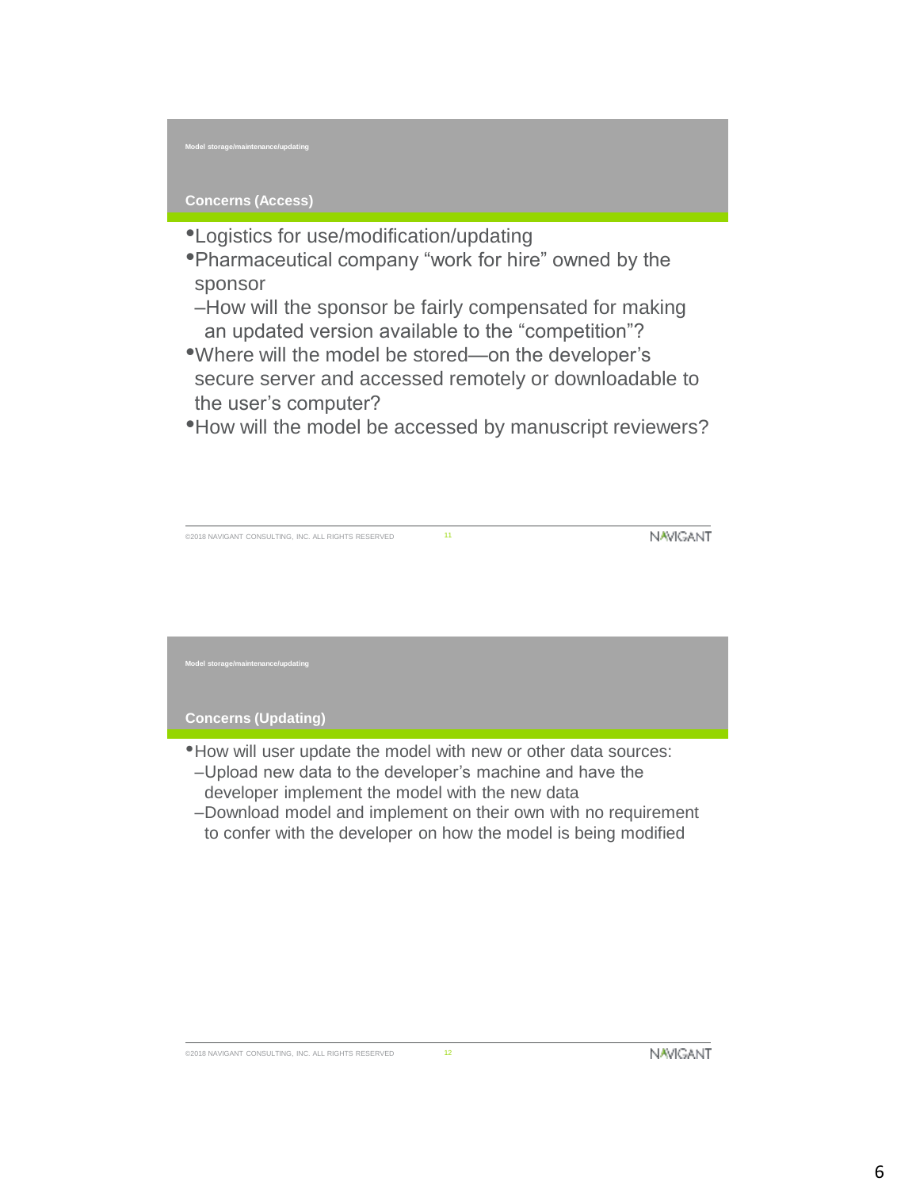**Model storage/maintenance/updating**

# **Concerns (Access)**

- •Logistics for use/modification/updating
- •Pharmaceutical company "work for hire" owned by the sponsor
- –How will the sponsor be fairly compensated for making an updated version available to the "competition"?
- •Where will the model be stored—on the developer's secure server and accessed remotely or downloadable to the user's computer?
- •How will the model be accessed by manuscript reviewers?

©2018 NAVIGANT CONSULTING, INC. ALL RIGHTS RESERVED 11

**NAVIGANT** 

**Model storage/maintenance/updating**

### **Concerns (Updating)**

- •How will user update the model with new or other data sources:
- –Upload new data to the developer's machine and have the developer implement the model with the new data
- –Download model and implement on their own with no requirement to confer with the developer on how the model is being modified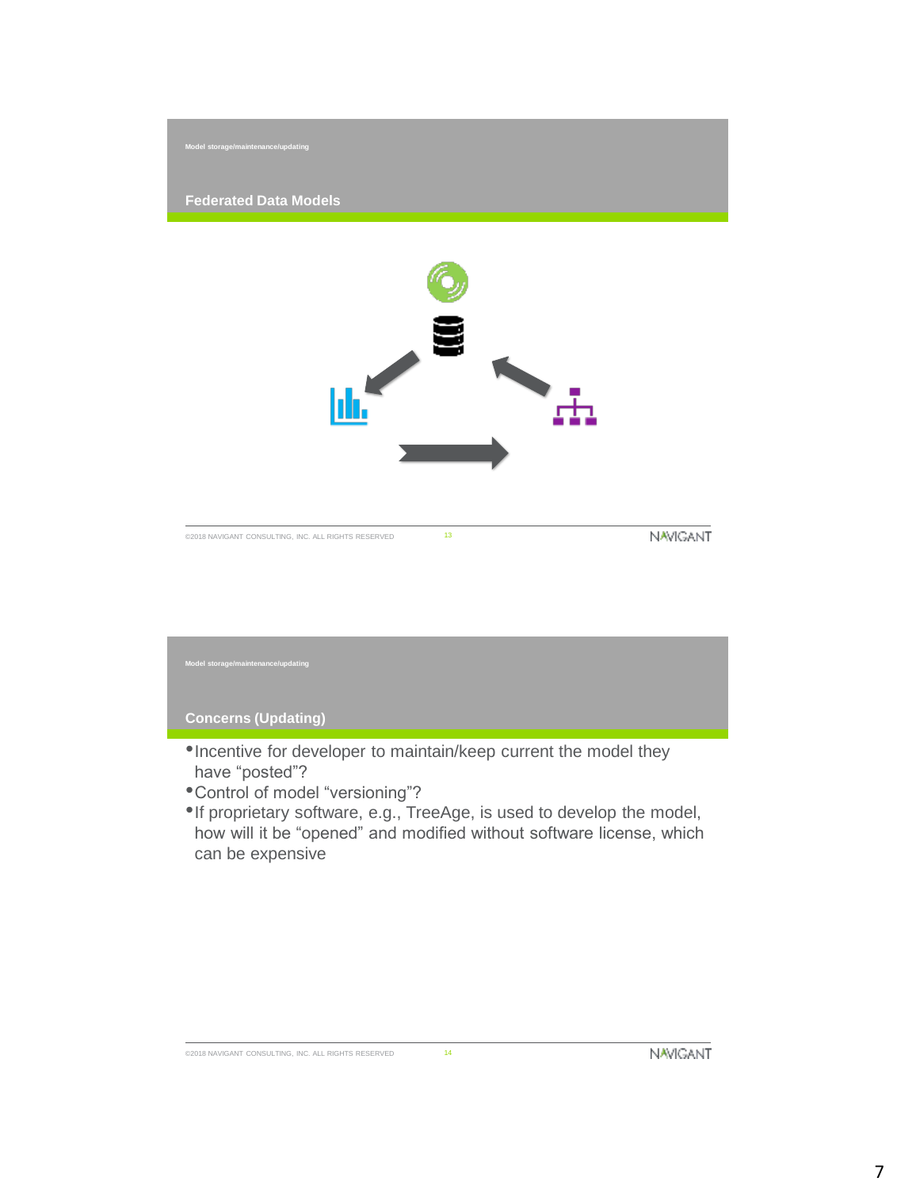

# **Concerns (Updating)** •Incentive for developer to maintain/keep current the model they have "posted"? **Model storage/maintenance/updating**

- •Control of model "versioning"?
- •If proprietary software, e.g., TreeAge, is used to develop the model, how will it be "opened" and modified without software license, which can be expensive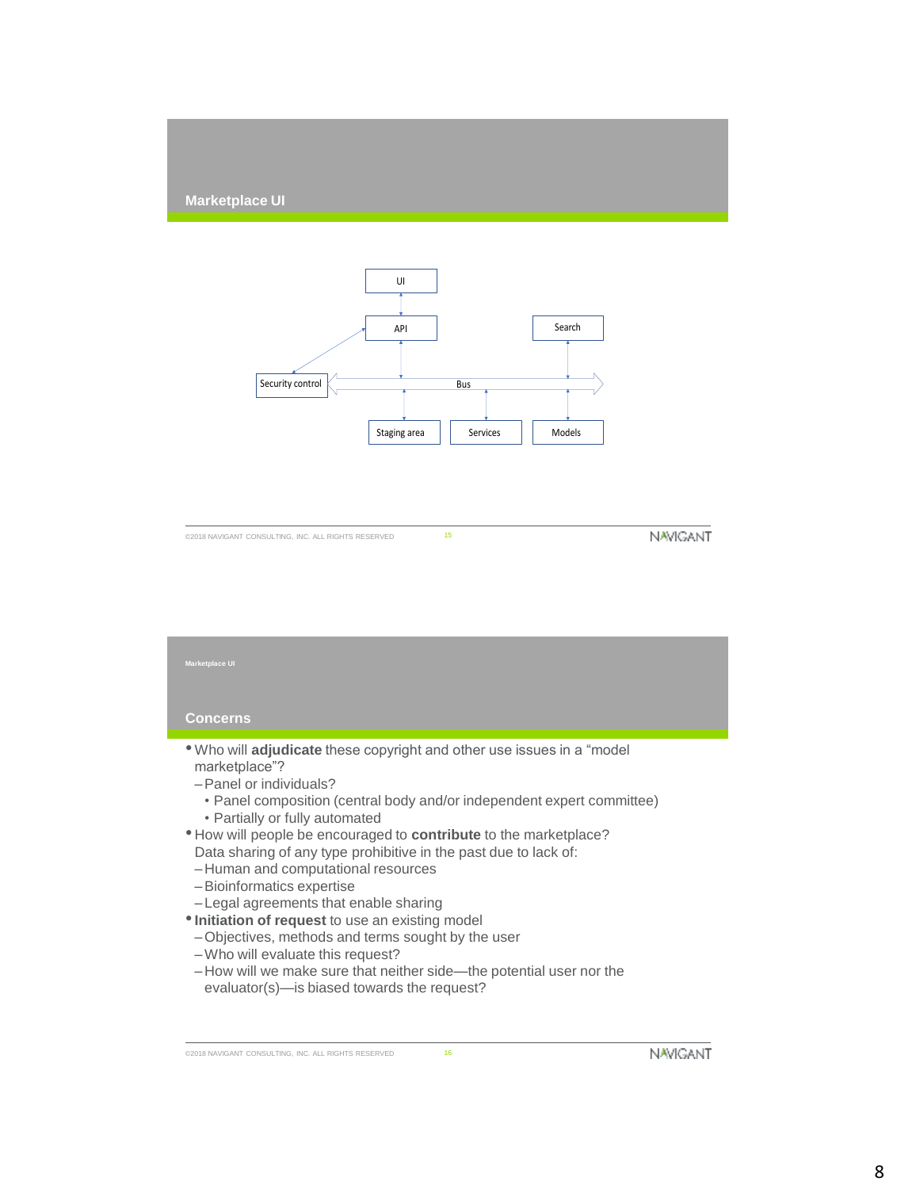### **Marketplace UI**



**NAVIGANT** 

# **Concerns** • Who will **adjudicate** these copyright and other use issues in a "model marketplace"? –Panel or individuals? • Panel composition (central body and/or independent expert committee) • Partially or fully automated • How will people be encouraged to **contribute** to the marketplace? Data sharing of any type prohibitive in the past due to lack of: – Human and computational resources –Bioinformatics expertise – Legal agreements that enable sharing •**Initiation of request** to use an existing model –Objectives, methods and terms sought by the user **Marketplace UI**

- –Who will evaluate this request?
- How will we make sure that neither side—the potential user nor the evaluator(s)—is biased towards the request?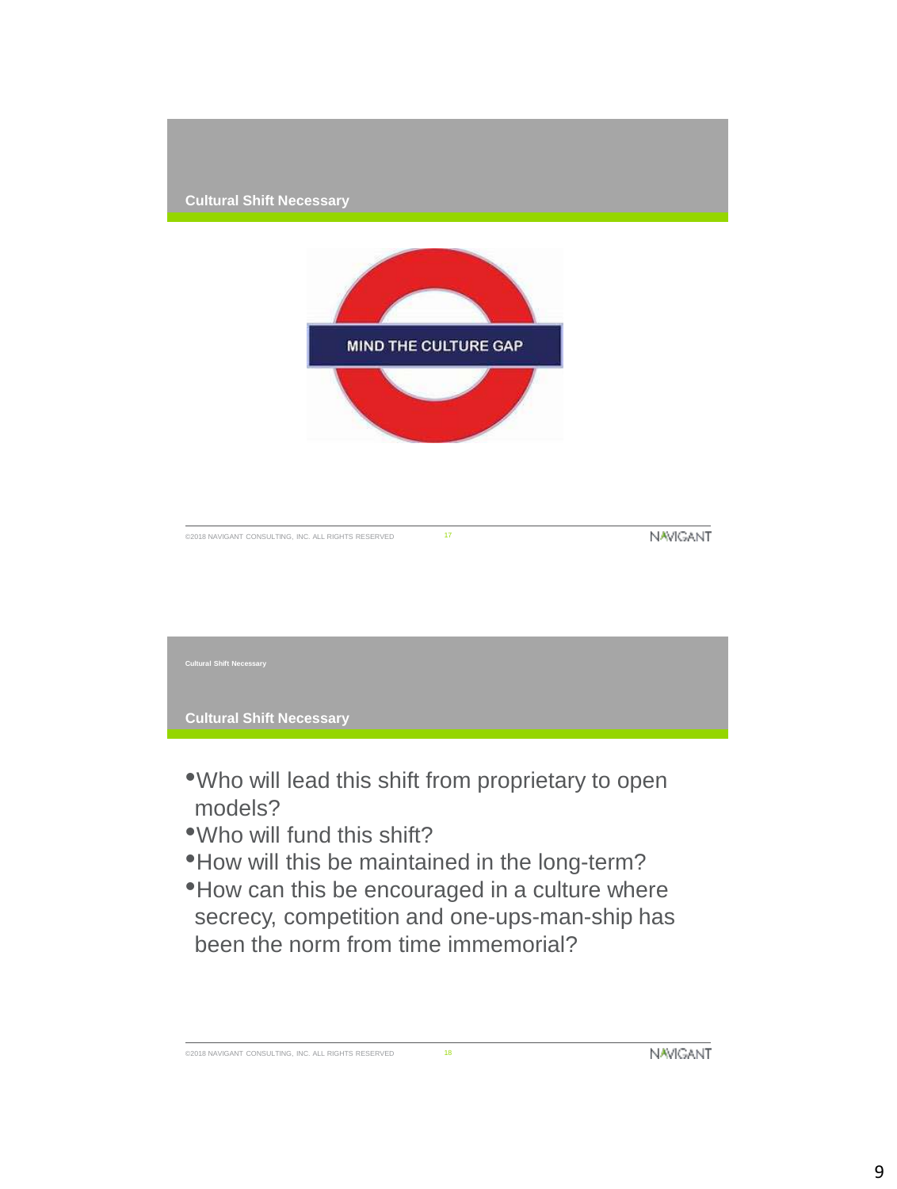

- •Who will lead this shift from proprietary to open models?
- •Who will fund this shift?
- •How will this be maintained in the long-term?
- •How can this be encouraged in a culture where secrecy, competition and one-ups-man-ship has been the norm from time immemorial?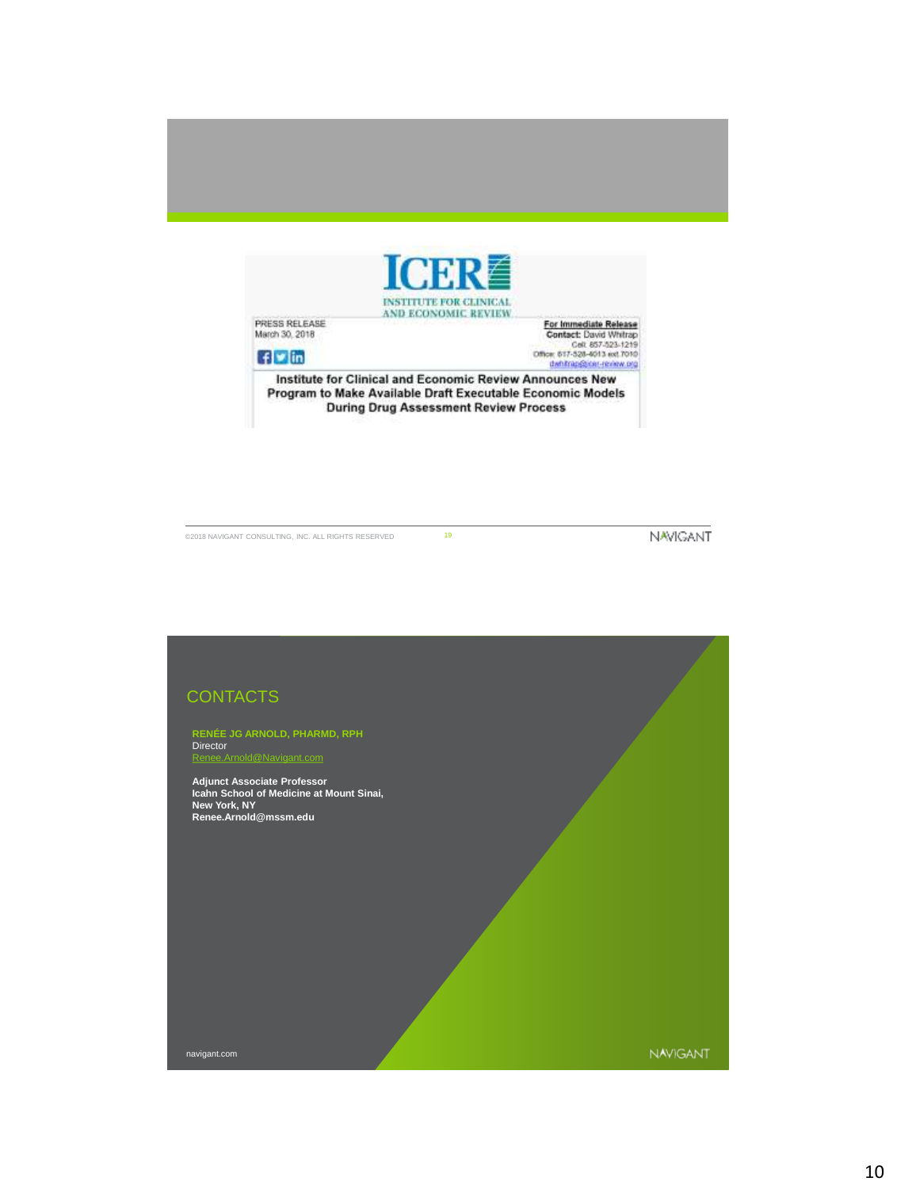

PRESS RELEASE<br>March 30, 2018  $f$   $\blacksquare$   $\blacksquare$ 

For Immediate Release<br>Contact: David Whitzp<br>Cel: 857-523-1219<br>Office: 617-528-4013 ext.7010<br>Unting Sprint (external graph)

Institute for Clinical and Economic Review Announces New Program to Make Available Draft Executable Economic Models **During Drug Assessment Review Process** 

©2018 NAVIGANT CONSULTING, INC. ALL RIGHTS RESERVED 19

NAVIGANT